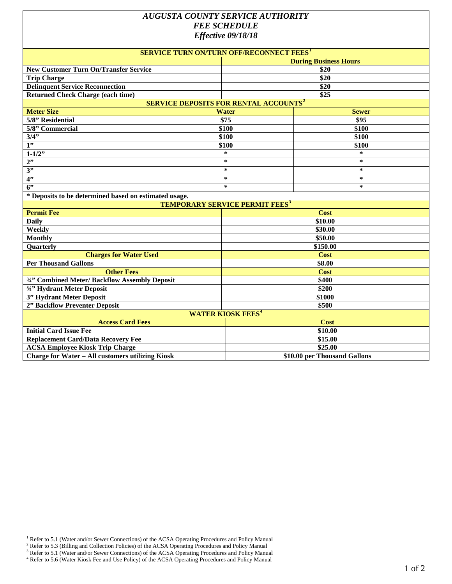# *AUGUSTA COUNTY SERVICE AUTHORITY FEE SCHEDULE Effective 09/18/18*

| SERVICE TURN ON/TURN OFF/RECONNECT FEES <sup>1</sup>    |                  |                              |  |
|---------------------------------------------------------|------------------|------------------------------|--|
|                                                         |                  | <b>During Business Hours</b> |  |
| <b>New Customer Turn On/Transfer Service</b>            |                  | \$20                         |  |
| <b>Trip Charge</b>                                      |                  | \$20                         |  |
| <b>Delinquent Service Reconnection</b>                  |                  | \$20                         |  |
| <b>Returned Check Charge (each time)</b>                |                  | \$25                         |  |
| <b>SERVICE DEPOSITS FOR RENTAL ACCOUNTS<sup>2</sup></b> |                  |                              |  |
| <b>Meter Size</b>                                       | <b>Water</b>     | <b>Sewer</b>                 |  |
| 5/8" Residential                                        | $\overline{$}75$ | \$95                         |  |
| 5/8" Commercial                                         | \$100            | \$100                        |  |
| $3/\overline{4"}$                                       | \$100            | \$100                        |  |
| $\overline{1"}$                                         | \$100            | \$100                        |  |
| $1 - 1/2$                                               | $\star$          | $\ast$                       |  |
| 2"                                                      | $\ast$           | $\ast$                       |  |
| 3"                                                      | $\ast$           | $\ast$                       |  |
| 4"                                                      | $\star$          | $\ast$                       |  |
| 6"                                                      | $\star$          | $\ast$                       |  |
| * Deposits to be determined based on estimated usage.   |                  |                              |  |
| <b>TEMPORARY SERVICE PERMIT FEES<sup>3</sup></b>        |                  |                              |  |
| <b>Permit Fee</b>                                       |                  | Cost                         |  |
| <b>Daily</b>                                            |                  | \$10.00                      |  |
| Weekly                                                  |                  | \$30.00                      |  |
| <b>Monthly</b>                                          |                  | \$50.00                      |  |
| Quarterly                                               |                  | \$150.00                     |  |
| <b>Charges for Water Used</b>                           |                  | Cost                         |  |
| <b>Per Thousand Gallons</b>                             |                  | \$8.00                       |  |
| <b>Other Fees</b>                                       |                  | Cost                         |  |
| 3/4" Combined Meter/ Backflow Assembly Deposit          |                  | \$400                        |  |
| 3/4" Hydrant Meter Deposit                              |                  | \$200                        |  |
| 3" Hydrant Meter Deposit                                |                  | \$1000                       |  |
| 2" Backflow Preventer Deposit                           |                  | \$500                        |  |
| <b>WATER KIOSK FEES<sup>4</sup></b>                     |                  |                              |  |
| <b>Access Card Fees</b>                                 |                  | Cost                         |  |
| <b>Initial Card Issue Fee</b>                           |                  | \$10.00                      |  |
| <b>Replacement Card/Data Recovery Fee</b>               |                  | \$15.00                      |  |
| <b>ACSA Employee Kiosk Trip Charge</b>                  |                  | \$25.00                      |  |
| <b>Charge for Water - All customers utilizing Kiosk</b> |                  | \$10.00 per Thousand Gallons |  |

<sup>1&</sup>lt;br><sup>1</sup> Refer to 5.1 (Water and/or Sewer Connections) of the ACSA Operating Procedures and Policy Manual

<span id="page-0-2"></span><span id="page-0-1"></span><span id="page-0-0"></span><sup>&</sup>lt;sup>2</sup> Refer to 5.3 (Billing and Collection Policies) of the ACSA Operating Procedures and Policy Manual

<span id="page-0-3"></span><sup>&</sup>lt;sup>3</sup> Refer to 5.1 (Water and/or Sewer Connections) of the ACSA Operating Procedures and Policy Manual <sup>4</sup> Refer to 5.6 (Water Kiosk Fee and Use Policy) of the ACSA Operating Procedures and Policy Manual